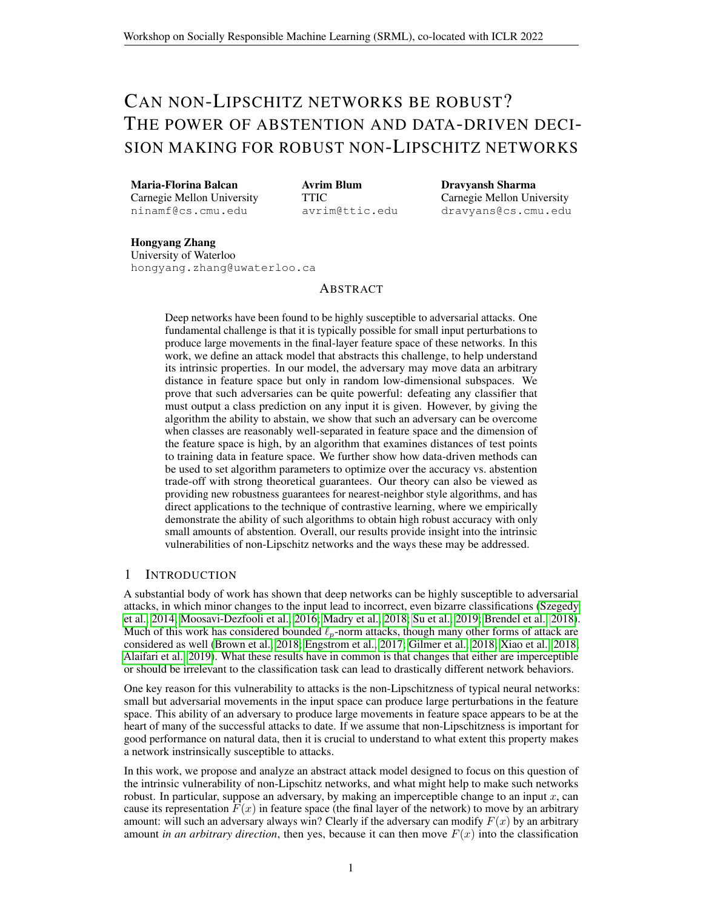# <span id="page-0-0"></span>CAN NON-LIPSCHITZ NETWORKS BE ROBUST? THE POWER OF ABSTENTION AND DATA-DRIVEN DECI-SION MAKING FOR ROBUST NON-LIPSCHITZ NETWORKS

Maria-Florina Balcan Carnegie Mellon University ninamf@cs.cmu.edu

Avrim Blum TTIC avrim@ttic.edu Dravyansh Sharma Carnegie Mellon University dravyans@cs.cmu.edu

Hongyang Zhang University of Waterloo hongyang.zhang@uwaterloo.ca

#### ABSTRACT

Deep networks have been found to be highly susceptible to adversarial attacks. One fundamental challenge is that it is typically possible for small input perturbations to produce large movements in the final-layer feature space of these networks. In this work, we define an attack model that abstracts this challenge, to help understand its intrinsic properties. In our model, the adversary may move data an arbitrary distance in feature space but only in random low-dimensional subspaces. We prove that such adversaries can be quite powerful: defeating any classifier that must output a class prediction on any input it is given. However, by giving the algorithm the ability to abstain, we show that such an adversary can be overcome when classes are reasonably well-separated in feature space and the dimension of the feature space is high, by an algorithm that examines distances of test points to training data in feature space. We further show how data-driven methods can be used to set algorithm parameters to optimize over the accuracy vs. abstention trade-off with strong theoretical guarantees. Our theory can also be viewed as providing new robustness guarantees for nearest-neighbor style algorithms, and has direct applications to the technique of contrastive learning, where we empirically demonstrate the ability of such algorithms to obtain high robust accuracy with only small amounts of abstention. Overall, our results provide insight into the intrinsic vulnerabilities of non-Lipschitz networks and the ways these may be addressed.

# 1 INTRODUCTION

A substantial body of work has shown that deep networks can be highly susceptible to adversarial attacks, in which minor changes to the input lead to incorrect, even bizarre classifications [\(Szegedy](#page-4-0) [et al., 2014;](#page-4-0) [Moosavi-Dezfooli et al., 2016;](#page-4-1) [Madry et al., 2018;](#page-4-2) [Su et al., 2019;](#page-4-3) [Brendel et al., 2018\)](#page-4-4). Much of this work has considered bounded  $\ell_p$ -norm attacks, though many other forms of attack are considered as well [\(Brown et al., 2018;](#page-4-5) [Engstrom et al., 2017;](#page-4-6) [Gilmer et al., 2018;](#page-4-7) [Xiao et al., 2018;](#page-5-0) [Alaifari et al., 2019\)](#page-4-8). What these results have in common is that changes that either are imperceptible or should be irrelevant to the classification task can lead to drastically different network behaviors.

One key reason for this vulnerability to attacks is the non-Lipschitzness of typical neural networks: small but adversarial movements in the input space can produce large perturbations in the feature space. This ability of an adversary to produce large movements in feature space appears to be at the heart of many of the successful attacks to date. If we assume that non-Lipschitzness is important for good performance on natural data, then it is crucial to understand to what extent this property makes a network instrinsically susceptible to attacks.

In this work, we propose and analyze an abstract attack model designed to focus on this question of the intrinsic vulnerability of non-Lipschitz networks, and what might help to make such networks robust. In particular, suppose an adversary, by making an imperceptible change to an input  $x$ , can cause its representation  $F(x)$  in feature space (the final layer of the network) to move by an arbitrary amount: will such an adversary always win? Clearly if the adversary can modify  $F(x)$  by an arbitrary amount *in an arbitrary direction*, then yes, because it can then move  $F(x)$  into the classification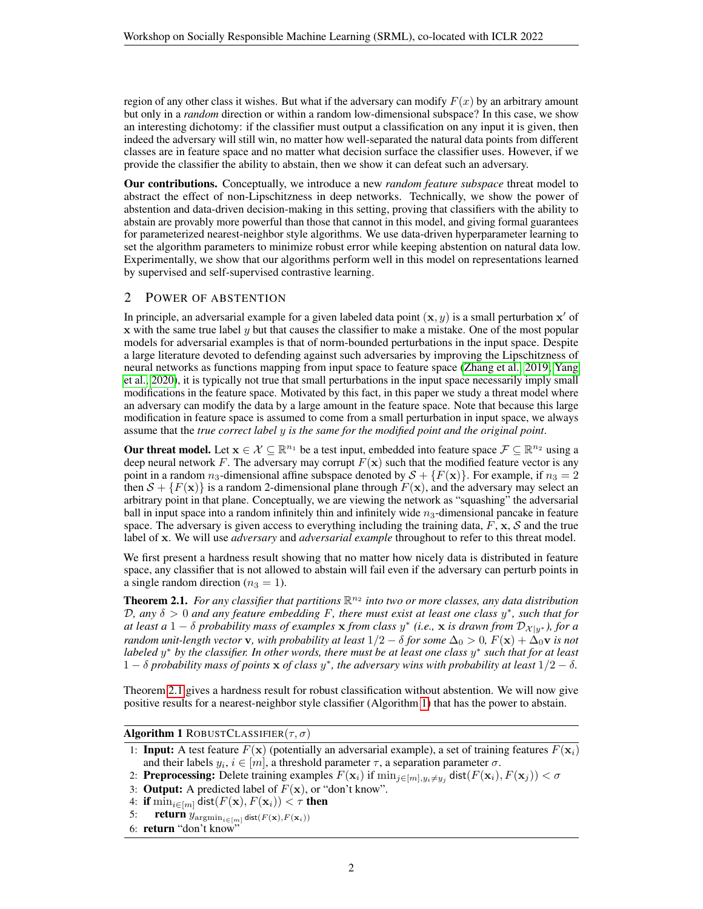region of any other class it wishes. But what if the adversary can modify  $F(x)$  by an arbitrary amount but only in a *random* direction or within a random low-dimensional subspace? In this case, we show an interesting dichotomy: if the classifier must output a classification on any input it is given, then indeed the adversary will still win, no matter how well-separated the natural data points from different classes are in feature space and no matter what decision surface the classifier uses. However, if we provide the classifier the ability to abstain, then we show it can defeat such an adversary.

Our contributions. Conceptually, we introduce a new *random feature subspace* threat model to abstract the effect of non-Lipschitzness in deep networks. Technically, we show the power of abstention and data-driven decision-making in this setting, proving that classifiers with the ability to abstain are provably more powerful than those that cannot in this model, and giving formal guarantees for parameterized nearest-neighbor style algorithms. We use data-driven hyperparameter learning to set the algorithm parameters to minimize robust error while keeping abstention on natural data low. Experimentally, we show that our algorithms perform well in this model on representations learned by supervised and self-supervised contrastive learning.

### 2 POWER OF ABSTENTION

In principle, an adversarial example for a given labeled data point  $(x, y)$  is a small perturbation  $x'$  of  $x$  with the same true label  $y$  but that causes the classifier to make a mistake. One of the most popular models for adversarial examples is that of norm-bounded perturbations in the input space. Despite a large literature devoted to defending against such adversaries by improving the Lipschitzness of neural networks as functions mapping from input space to feature space [\(Zhang et al., 2019;](#page-5-1) [Yang](#page-5-2) [et al., 2020\)](#page-5-2), it is typically not true that small perturbations in the input space necessarily imply small modifications in the feature space. Motivated by this fact, in this paper we study a threat model where an adversary can modify the data by a large amount in the feature space. Note that because this large modification in feature space is assumed to come from a small perturbation in input space, we always assume that the *true correct label* y *is the same for the modified point and the original point*.

**Our threat model.** Let  $x \in \mathcal{X} \subseteq \mathbb{R}^{n_1}$  be a test input, embedded into feature space  $\mathcal{F} \subseteq \mathbb{R}^{n_2}$  using a deep neural network F. The adversary may corrupt  $F(\mathbf{x})$  such that the modified feature vector is any point in a random  $n_3$ -dimensional affine subspace denoted by  $S + {F(\mathbf{x})}$ . For example, if  $n_3 = 2$ then  $S + {F(x)}$  is a random 2-dimensional plane through  $F(x)$ , and the adversary may select an arbitrary point in that plane. Conceptually, we are viewing the network as "squashing" the adversarial ball in input space into a random infinitely thin and infinitely wide  $n_3$ -dimensional pancake in feature space. The adversary is given access to everything including the training data,  $F$ ,  $x$ ,  $S$  and the true label of x. We will use *adversary* and *adversarial example* throughout to refer to this threat model.

We first present a hardness result showing that no matter how nicely data is distributed in feature space, any classifier that is not allowed to abstain will fail even if the adversary can perturb points in a single random direction ( $n_3 = 1$ ).

<span id="page-1-0"></span>**Theorem 2.1.** For any classifier that partitions  $\mathbb{R}^{n_2}$  into two or more classes, any data distribution D*, any* δ > 0 *and any feature embedding* F*, there must exist at least one class* y ∗ *, such that for*  $a$ *t* least a 1 –  $\delta$  probability mass of examples  $x$  from class  $y^*$  (i.e.,  $x$  is drawn from  $D_{\mathcal{X}|y^*}$ ), for a *random unit-length vector* **v**, with probability at least  $1/2 - \delta$  *for some*  $\Delta_0 > 0$ ,  $F(\mathbf{x}) + \Delta_0 \mathbf{v}$  *is not labeled* y <sup>∗</sup> *by the classifier. In other words, there must be at least one class* y ∗ *such that for at least*  $1 - \delta$  *probability mass of points*  $\bf{x}$  *of class*  $y^*$ *, the adversary wins with probability at least*  $1/2 - \delta$ *.* 

Theorem [2.1](#page-1-0) gives a hardness result for robust classification without abstention. We will now give positive results for a nearest-neighbor style classifier (Algorithm [1\)](#page-1-1) that has the power to abstain.

#### Algorithm 1 ROBUSTCLASSIFIER $(\tau, \sigma)$

- <span id="page-1-1"></span>1: **Input:** A test feature  $F(\mathbf{x})$  (potentially an adversarial example), a set of training features  $F(\mathbf{x}_i)$ and their labels  $y_i, i \in [m]$ , a threshold parameter  $\tau$ , a separation parameter  $\sigma$ .
- 2: **Preprocessing:** Delete training examples  $F(\mathbf{x}_i)$  if  $\min_{j \in [m], y_i \neq y_j} \textsf{dist}(F(\mathbf{x}_i), F(\mathbf{x}_j)) < \sigma$
- 3: **Output:** A predicted label of  $F(\mathbf{x})$ , or "don't know".
- 4: if  $\min_{i \in [m]} \text{dist}(F(\mathbf{x}), F(\mathbf{x}_i)) < \tau$  then
- 5: **return**  $y_{\text{argmin}_{i \in [m]} \text{dist}(F(\mathbf{x}), F(\mathbf{x}_i))}$
- 6: **return** "don't know"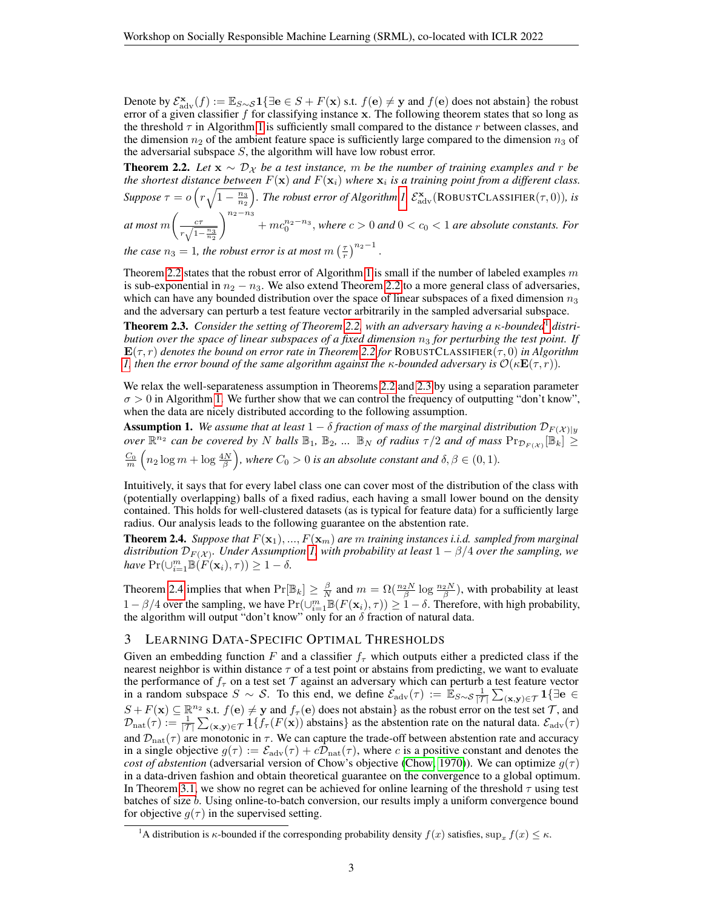Denote by  $\mathcal{E}_{\text{adv}}^{\mathbf{x}}(f) := \mathbb{E}_{S \sim S} \mathbf{1}\{\exists \mathbf{e} \in S + F(\mathbf{x}) \text{ s.t. } f(\mathbf{e}) \neq \mathbf{y} \text{ and } f(\mathbf{e}) \text{ does not abstain }\}$  the robust error of a given classifier  $f$  for classifying instance  $x$ . The following theorem states that so long as the threshold  $\tau$  in Algorithm [1](#page-1-1) is sufficiently small compared to the distance r between classes, and the dimension  $n_2$  of the ambient feature space is sufficiently large compared to the dimension  $n_3$  of the adversarial subspace  $S$ , the algorithm will have low robust error.

<span id="page-2-0"></span>**Theorem 2.2.** *Let*  $\mathbf{x} \sim \mathcal{D}_{\mathcal{X}}$  *be a test instance, m be the number of training examples and r be* the shortest distance between  $F(\mathbf{x})$  and  $F(\mathbf{x}_i)$  where  $\mathbf{x}_i$  is a training point from a different class.  $Suppose \tau = o\left(r\sqrt{1-\frac{n_3}{n_2}}\right)$ . The robust error of Algorithm [1,](#page-1-1)  $\mathcal{E}_{\text{adv}}^{\mathbf{x}}(\text{ROBUSTCLASSIFIER}(\tau,0))$ , is

at most  $m \Big ( \frac{c \tau}{\sqrt{2}}$  $r\sqrt{1-\frac{n_{3}}{n_{2}}}$  $\int_{0}^{n_{2}-n_{3}}$  +  $mc_{0}^{n_{2}-n_{3}}$ , where  $c > 0$  and  $0 < c_{0} < 1$  are absolute constants. For .

*the case*  $n_3 = 1$ *, the robust error is at most m*  $\left(\frac{\tau}{r}\right)^{n_2-1}$ 

Theorem [2.2](#page-2-0) states that the robust error of Algorithm [1](#page-1-1) is small if the number of labeled examples  $m$ is sub-exponential in  $n_2 - n_3$ . We also extend Theorem [2.2](#page-2-0) to a more general class of adversaries, which can have any bounded distribution over the space of linear subspaces of a fixed dimension  $n_3$ and the adversary can perturb a test feature vector arbitrarily in the sampled adversarial subspace.

<span id="page-2-1"></span>**Theorem 2.3.** *Consider the setting of Theorem [2.2,](#page-2-0) with an adversary having a*  $\kappa$ *-bounded*<sup>[1](#page-0-0)</sup> *distribution over the space of linear subspaces of a fixed dimension*  $n_3$  *for perturbing the test point. If*  $\mathbf{E}(\tau, r)$  *denotes the bound on error rate in Theorem* [2.2](#page-2-0) *for* ROBUSTCLASSIFIER( $\tau$ , 0) *in Algorithm [1,](#page-1-1)* then the error bound of the same algorithm against the  $\kappa$ -bounded adversary is  $\mathcal{O}(\kappa \mathbf{E}(\tau, r))$ .

We relax the well-separateness assumption in Theorems [2.2](#page-2-0) and [2.3](#page-2-1) by using a separation parameter  $\sigma > 0$  in Algorithm [1.](#page-1-1) We further show that we can control the frequency of outputting "don't know", when the data are nicely distributed according to the following assumption.

<span id="page-2-2"></span>**Assumption 1.** We assume that at least  $1 - \delta$  fraction of mass of the marginal distribution  $\mathcal{D}_{F(X)|y}$ *over*  $\mathbb{R}^{n_2}$  *can be covered by* N *balls*  $\mathbb{B}_1$ ,  $\mathbb{B}_2$ , ...  $\mathbb{B}_N$  *of radius*  $\tau/2$  *and of mass*  $\Pr_{\mathcal{D}_{F(X)}}[\mathbb{B}_k] \ge$  $\frac{C_0}{m}\left(n_2\log m + \log \frac{4N}{\beta}\right)$ , where  $C_0 > 0$  is an absolute constant and  $\delta, \beta \in (0,1)$ .

Intuitively, it says that for every label class one can cover most of the distribution of the class with (potentially overlapping) balls of a fixed radius, each having a small lower bound on the density contained. This holds for well-clustered datasets (as is typical for feature data) for a sufficiently large radius. Our analysis leads to the following guarantee on the abstention rate.

<span id="page-2-3"></span>**Theorem 2.4.** *Suppose that*  $F(\mathbf{x}_1),...,F(\mathbf{x}_m)$  *are m training instances i.i.d. sampled from marginal*  $distribution$   $\mathcal{D}_{F(\mathcal{X})}.$  Under Assumption [1,](#page-2-2) with probability at least  $1-\beta/4$  over the sampling, we *have*  $Pr(\cup_{i=1}^m \mathbb{B}(F(\mathbf{x}_i), \tau)) \geq 1 - \delta$ .

Theorem [2.4](#page-2-3) implies that when  $Pr[\mathbb{B}_k] \ge \frac{\beta}{N}$  and  $m = \Omega(\frac{n_2 N}{\beta} \log \frac{n_2 N}{\beta})$ , with probability at least  $1 - \beta/4$  over the sampling, we have  $Pr(\cup_{i=1}^{m} \mathbb{B}(F(\mathbf{x}_i), \tau)) \geq 1 - \delta$ . Therefore, with high probability, the algorithm will output "don't know" only for an  $\delta$  fraction of natural data.

#### 3 LEARNING DATA-SPECIFIC OPTIMAL THRESHOLDS

Given an embedding function F and a classifier  $f<sub>\tau</sub>$  which outputs either a predicted class if the nearest neighbor is within distance  $\tau$  of a test point or abstains from predicting, we want to evaluate the performance of  $f_{\tau}$  on a test set  $\tau$  against an adversary which can perturb a test feature vector in a random subspace  $S \sim S$ . To this end, we define  $\check{\mathcal{E}}_{\text{adv}}(\tau) := \mathbb{\dot{E}}_{S \sim S} \frac{1}{|\mathcal{T}|} \sum_{(\mathbf{x}, \mathbf{y}) \in \mathcal{T}} \mathbf{1} \{\exists \mathbf{e} \in \mathcal{T} \}$  $S + F(\mathbf{x}) \subseteq \mathbb{R}^{n_2}$  s.t.  $f(\mathbf{e}) \neq \mathbf{y}$  and  $f_\tau(\mathbf{e})$  does not abstain} as the robust error on the test set  $\mathcal{T}$ , and  $\mathcal{D}_{\text{nat}}(\tau) := \frac{1}{|\mathcal{T}|} \sum_{(\mathbf{x}, \mathbf{y}) \in \mathcal{T}} \mathbf{1}\{f_{\tau}(F(\mathbf{x}))\}$  abstains} as the abstention rate on the natural data.  $\mathcal{E}_{\text{adv}}(\tau)$ and  $\mathcal{D}_{nat}(\tau)$  are monotonic in  $\tau$ . We can capture the trade-off between abstention rate and accuracy in a single objective  $g(\tau) := \mathcal{E}_{adv}(\tau) + c \mathcal{D}_{nat}(\tau)$ , where c is a positive constant and denotes the *cost of abstention* (adversarial version of Chow's objective [\(Chow, 1970\)](#page-4-9)). We can optimize  $g(\tau)$ in a data-driven fashion and obtain theoretical guarantee on the convergence to a global optimum. In Theorem [3.1,](#page-2-4) we show no regret can be achieved for online learning of the threshold  $\tau$  using test batches of size b. Using online-to-batch conversion, our results imply a uniform convergence bound for objective  $q(\tau)$  in the supervised setting.

<span id="page-2-4"></span><sup>&</sup>lt;sup>1</sup>A distribution is  $\kappa$ -bounded if the corresponding probability density  $f(x)$  satisfies,  $\sup_x f(x) \leq \kappa$ .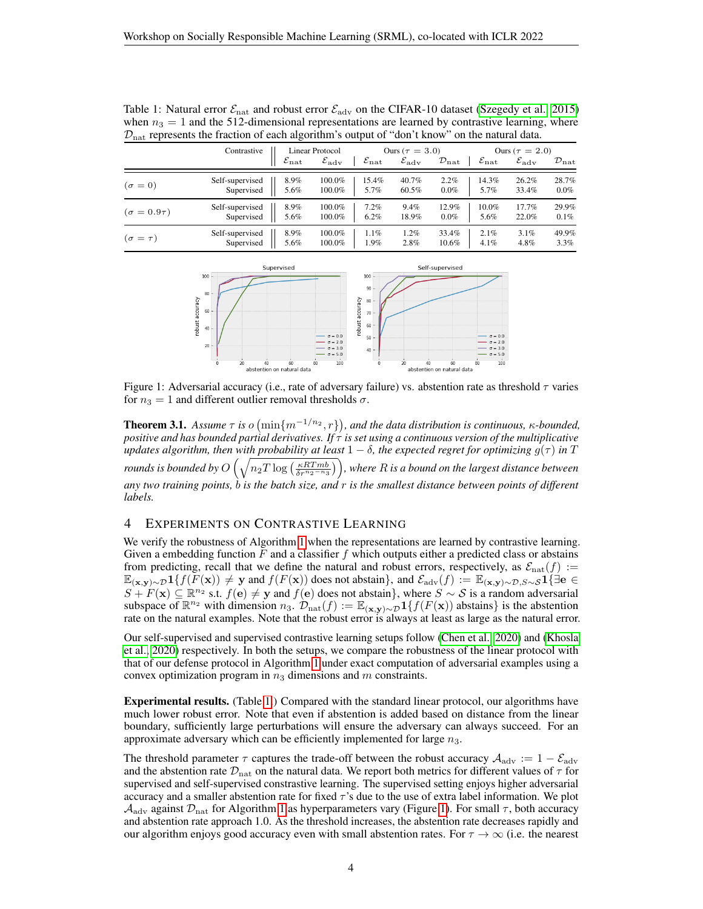|                      | Contrastive<br>$\varepsilon_{\rm nat}$ |      | Linear Protocol<br>$\mathcal{E}_{\text{adv}}$<br>$\varepsilon_{\rm nat}$ |         | Ours ( $\tau = 3.0$ )<br>$\varepsilon_{\rm adv}$<br>$\mathcal{D}_{\rm nat}$ |         | Ours ( $\tau = 2.0$ )<br>$\varepsilon_{\rm nat}$<br>$\varepsilon_{\rm adv}$<br>$\mathcal{D}_{\mathrm{nat}}$ |       |         |
|----------------------|----------------------------------------|------|--------------------------------------------------------------------------|---------|-----------------------------------------------------------------------------|---------|-------------------------------------------------------------------------------------------------------------|-------|---------|
|                      |                                        |      |                                                                          |         |                                                                             |         |                                                                                                             |       |         |
| $(\sigma = 0)$       | Self-supervised                        | 8.9% | 100.0%                                                                   | 15.4%   | 40.7%                                                                       | 2.2%    | 14.3%                                                                                                       | 26.2% | 28.7%   |
|                      | Supervised                             | 5.6% | 100.0%                                                                   | 5.7%    | 60.5%                                                                       | $0.0\%$ | 5.7%                                                                                                        | 33.4% | $0.0\%$ |
| $(\sigma = 0.9\tau)$ | Self-supervised                        | 8.9% | 100.0%                                                                   | 7.2%    | 9.4%                                                                        | 12.9%   | 10.0%                                                                                                       | 17.7% | 29.9%   |
|                      | Supervised                             | 5.6% | 100.0%                                                                   | $6.2\%$ | 18.9%                                                                       | $0.0\%$ | 5.6%                                                                                                        | 22.0% | $0.1\%$ |
| $(\sigma = \tau)$    | Self-supervised                        | 8.9% | 100.0%                                                                   | 1.1%    | $1.2\%$                                                                     | 33.4%   | 2.1%                                                                                                        | 3.1%  | 49.9%   |
|                      | Supervised                             | 5.6% | 100.0%                                                                   | 1.9%    | 2.8%                                                                        | 10.6%   | $4.1\%$                                                                                                     | 4.8%  | 3.3%    |

<span id="page-3-0"></span>Table 1: Natural error  $\mathcal{E}_{\text{nat}}$  and robust error  $\mathcal{E}_{\text{adv}}$  on the CIFAR-10 dataset [\(Szegedy et al., 2015\)](#page-4-10) when  $n_3 = 1$  and the 512-dimensional representations are learned by contrastive learning, where  $\mathcal{D}_{\text{nat}}$  represents the fraction of each algorithm's output of "don't know" on the natural data.

<span id="page-3-1"></span>

Figure 1: Adversarial accuracy (i.e., rate of adversary failure) vs. abstention rate as threshold  $\tau$  varies for  $n_3 = 1$  and different outlier removal thresholds  $\sigma$ .

**Theorem 3.1.** Assume  $\tau$  is  $o(\min\{m^{-1/n_2}, r\})$ , and the data distribution is continuous,  $\kappa$ -bounded, *positive and has bounded partial derivatives. If* τ *is set using a continuous version of the multiplicative updates algorithm, then with probability at least*  $1 - \delta$ *, the expected regret for optimizing*  $g(\tau)$  *in* T rounds is bounded by  $O\left(\sqrt{n_2T\log\left(\frac{\kappa RTmb}{\delta r^{n_2-n_3}}\right)}\right)$ , where  $R$  is a bound on the largest distance between *any two training points,* b *is the batch size, and* r *is the smallest distance between points of different labels.*

## 4 EXPERIMENTS ON CONTRASTIVE LEARNING

We verify the robustness of Algorithm [1](#page-1-1) when the representations are learned by contrastive learning. Given a embedding function  $F$  and a classifier f which outputs either a predicted class or abstains from predicting, recall that we define the natural and robust errors, respectively, as  $\mathcal{E}_{nat}(f) :=$  $\mathbb{E}_{(\mathbf{x},\mathbf{y})\sim\mathcal{D}}1\{f(F(\mathbf{x}))\neq \mathbf{y}\text{ and }f(F(\mathbf{x}))\text{ does not abstain}\}\text{, and }\mathcal{E}_{\text{adv}}(f):=\mathbb{E}_{(\mathbf{x},\mathbf{y})\sim\mathcal{D},S\sim\mathcal{S}}1\{\exists\mathbf{e}\in\mathcal{E}_{\text{adv}}\}$  $S + F(\mathbf{x}) \subseteq \mathbb{R}^{n_2}$  s.t.  $f(\mathbf{e}) \neq \mathbf{y}$  and  $f(\mathbf{e})$  does not abstain}, where  $S \sim S$  is a random adversarial subspace of  $\mathbb{R}^{n_2}$  with dimension  $n_3$ .  $\mathcal{D}_{\text{nat}}(f) := \mathbb{E}_{(\mathbf{x}, \mathbf{y}) \sim \mathcal{D}} \mathbf{1}\{f(F(\mathbf{x}))\}$  abstains} is the abstention rate on the natural examples. Note that the robust error is always at least as large as the natural error.

Our self-supervised and supervised contrastive learning setups follow [\(Chen et al., 2020\)](#page-4-11) and [\(Khosla](#page-4-12) [et al., 2020\)](#page-4-12) respectively. In both the setups, we compare the robustness of the linear protocol with that of our defense protocol in Algorithm [1](#page-1-1) under exact computation of adversarial examples using a convex optimization program in  $n_3$  dimensions and m constraints.

Experimental results. (Table [1.](#page-3-0)) Compared with the standard linear protocol, our algorithms have much lower robust error. Note that even if abstention is added based on distance from the linear boundary, sufficiently large perturbations will ensure the adversary can always succeed. For an approximate adversary which can be efficiently implemented for large  $n_3$ .

The threshold parameter  $\tau$  captures the trade-off between the robust accuracy  $\mathcal{A}_{\text{adv}} := 1 - \mathcal{E}_{\text{adv}}$ and the abstention rate  $\mathcal{D}_{nat}$  on the natural data. We report both metrics for different values of  $\tau$  for supervised and self-supervised constrastive learning. The supervised setting enjoys higher adversarial accuracy and a smaller abstention rate for fixed  $\tau$ 's due to the use of extra label information. We plot  $\mathcal{A}_{\text{adv}}$  against  $\mathcal{D}_{\text{nat}}$  for Algorithm [1](#page-1-1) as hyperparameters vary (Figure [1\)](#page-3-1). For small  $\tau$ , both accuracy and abstention rate approach 1.0. As the threshold increases, the abstention rate decreases rapidly and our algorithm enjoys good accuracy even with small abstention rates. For  $\tau \to \infty$  (i.e. the nearest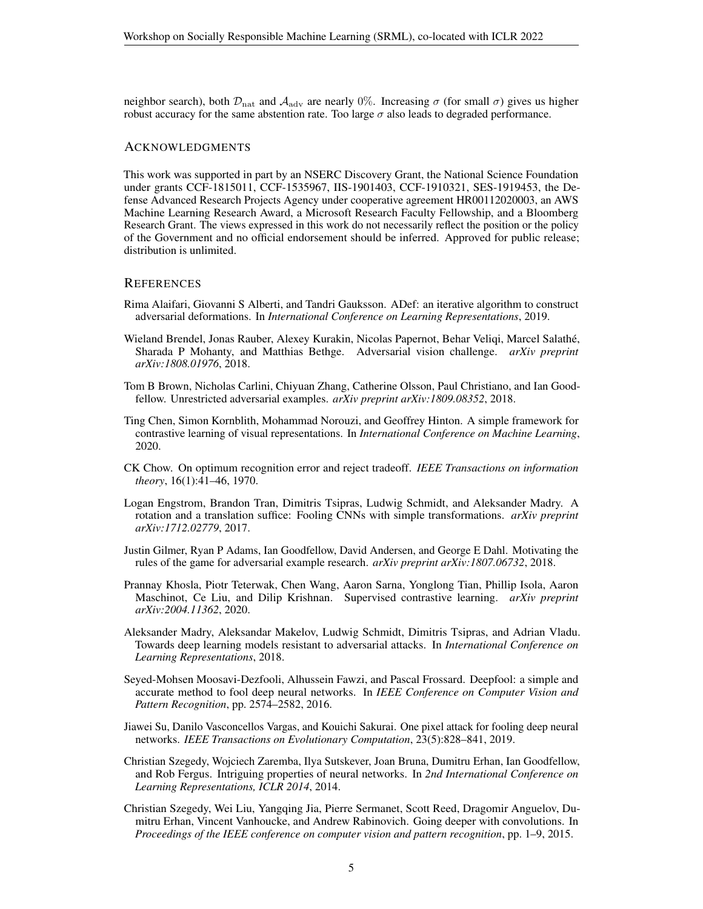neighbor search), both  $\mathcal{D}_{\text{nat}}$  and  $\mathcal{A}_{\text{adv}}$  are nearly 0%. Increasing  $\sigma$  (for small  $\sigma$ ) gives us higher robust accuracy for the same abstention rate. Too large  $\sigma$  also leads to degraded performance.

#### ACKNOWLEDGMENTS

This work was supported in part by an NSERC Discovery Grant, the National Science Foundation under grants CCF-1815011, CCF-1535967, IIS-1901403, CCF-1910321, SES-1919453, the Defense Advanced Research Projects Agency under cooperative agreement HR00112020003, an AWS Machine Learning Research Award, a Microsoft Research Faculty Fellowship, and a Bloomberg Research Grant. The views expressed in this work do not necessarily reflect the position or the policy of the Government and no official endorsement should be inferred. Approved for public release; distribution is unlimited.

#### **REFERENCES**

- <span id="page-4-8"></span>Rima Alaifari, Giovanni S Alberti, and Tandri Gauksson. ADef: an iterative algorithm to construct adversarial deformations. In *International Conference on Learning Representations*, 2019.
- <span id="page-4-4"></span>Wieland Brendel, Jonas Rauber, Alexey Kurakin, Nicolas Papernot, Behar Veliqi, Marcel Salathe,´ Sharada P Mohanty, and Matthias Bethge. Adversarial vision challenge. *arXiv preprint arXiv:1808.01976*, 2018.
- <span id="page-4-5"></span>Tom B Brown, Nicholas Carlini, Chiyuan Zhang, Catherine Olsson, Paul Christiano, and Ian Goodfellow. Unrestricted adversarial examples. *arXiv preprint arXiv:1809.08352*, 2018.
- <span id="page-4-11"></span>Ting Chen, Simon Kornblith, Mohammad Norouzi, and Geoffrey Hinton. A simple framework for contrastive learning of visual representations. In *International Conference on Machine Learning*, 2020.
- <span id="page-4-9"></span>CK Chow. On optimum recognition error and reject tradeoff. *IEEE Transactions on information theory*, 16(1):41–46, 1970.
- <span id="page-4-6"></span>Logan Engstrom, Brandon Tran, Dimitris Tsipras, Ludwig Schmidt, and Aleksander Madry. A rotation and a translation suffice: Fooling CNNs with simple transformations. *arXiv preprint arXiv:1712.02779*, 2017.
- <span id="page-4-7"></span>Justin Gilmer, Ryan P Adams, Ian Goodfellow, David Andersen, and George E Dahl. Motivating the rules of the game for adversarial example research. *arXiv preprint arXiv:1807.06732*, 2018.
- <span id="page-4-12"></span>Prannay Khosla, Piotr Teterwak, Chen Wang, Aaron Sarna, Yonglong Tian, Phillip Isola, Aaron Maschinot, Ce Liu, and Dilip Krishnan. Supervised contrastive learning. *arXiv preprint arXiv:2004.11362*, 2020.
- <span id="page-4-2"></span>Aleksander Madry, Aleksandar Makelov, Ludwig Schmidt, Dimitris Tsipras, and Adrian Vladu. Towards deep learning models resistant to adversarial attacks. In *International Conference on Learning Representations*, 2018.
- <span id="page-4-1"></span>Seyed-Mohsen Moosavi-Dezfooli, Alhussein Fawzi, and Pascal Frossard. Deepfool: a simple and accurate method to fool deep neural networks. In *IEEE Conference on Computer Vision and Pattern Recognition*, pp. 2574–2582, 2016.
- <span id="page-4-3"></span>Jiawei Su, Danilo Vasconcellos Vargas, and Kouichi Sakurai. One pixel attack for fooling deep neural networks. *IEEE Transactions on Evolutionary Computation*, 23(5):828–841, 2019.
- <span id="page-4-0"></span>Christian Szegedy, Wojciech Zaremba, Ilya Sutskever, Joan Bruna, Dumitru Erhan, Ian Goodfellow, and Rob Fergus. Intriguing properties of neural networks. In *2nd International Conference on Learning Representations, ICLR 2014*, 2014.
- <span id="page-4-10"></span>Christian Szegedy, Wei Liu, Yangqing Jia, Pierre Sermanet, Scott Reed, Dragomir Anguelov, Dumitru Erhan, Vincent Vanhoucke, and Andrew Rabinovich. Going deeper with convolutions. In *Proceedings of the IEEE conference on computer vision and pattern recognition*, pp. 1–9, 2015.